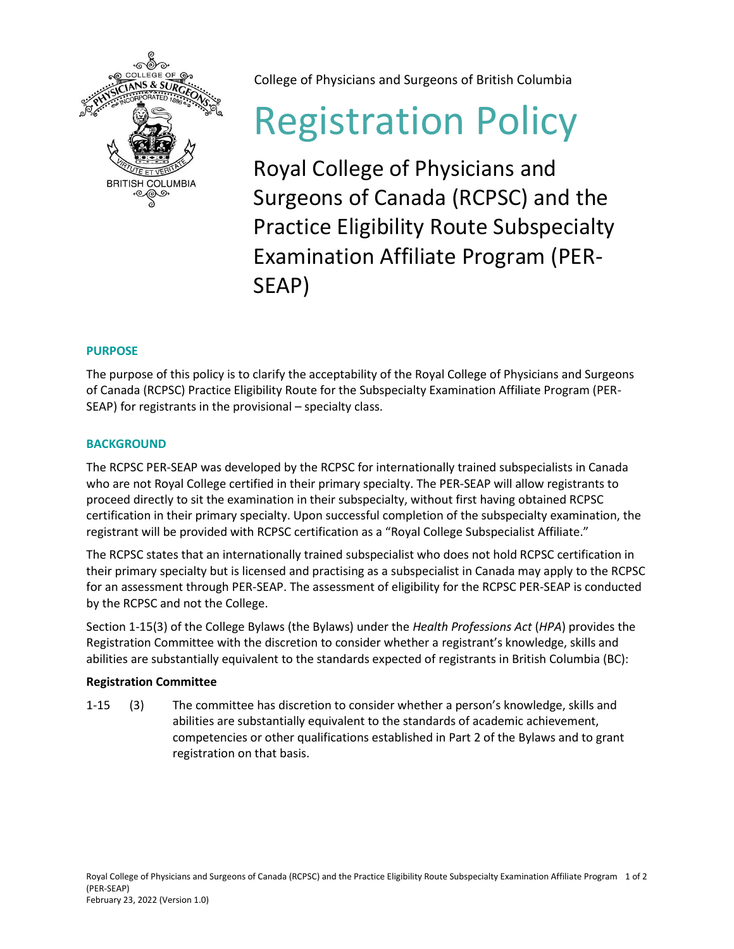

College of Physicians and Surgeons of British Columbia

# Registration Policy

Royal College of Physicians and Surgeons of Canada (RCPSC) and the Practice Eligibility Route Subspecialty Examination Affiliate Program (PER-SEAP)

# **PURPOSE**

The purpose of this policy is to clarify the acceptability of the Royal College of Physicians and Surgeons of Canada (RCPSC) Practice Eligibility Route for the Subspecialty Examination Affiliate Program (PER-SEAP) for registrants in the provisional – specialty class.

## **BACKGROUND**

The RCPSC PER-SEAP was developed by the RCPSC for internationally trained subspecialists in Canada who are not Royal College certified in their primary specialty. The PER-SEAP will allow registrants to proceed directly to sit the examination in their subspecialty, without first having obtained RCPSC certification in their primary specialty. Upon successful completion of the subspecialty examination, the registrant will be provided with RCPSC certification as a "Royal College Subspecialist Affiliate."

The RCPSC states that an internationally trained subspecialist who does not hold RCPSC certification in their primary specialty but is licensed and practising as a subspecialist in Canada may apply to the RCPSC for an assessment through PER-SEAP. The assessment of eligibility for the RCPSC PER-SEAP is conducted by the RCPSC and not the College.

Section 1-15(3) of the College Bylaws (the Bylaws) under the *Health Professions Act* (*HPA*) provides the Registration Committee with the discretion to consider whether a registrant's knowledge, skills and abilities are substantially equivalent to the standards expected of registrants in British Columbia (BC):

## **Registration Committee**

1-15 (3) The committee has discretion to consider whether a person's knowledge, skills and abilities are substantially equivalent to the standards of academic achievement, competencies or other qualifications established in Part 2 of the Bylaws and to grant registration on that basis.